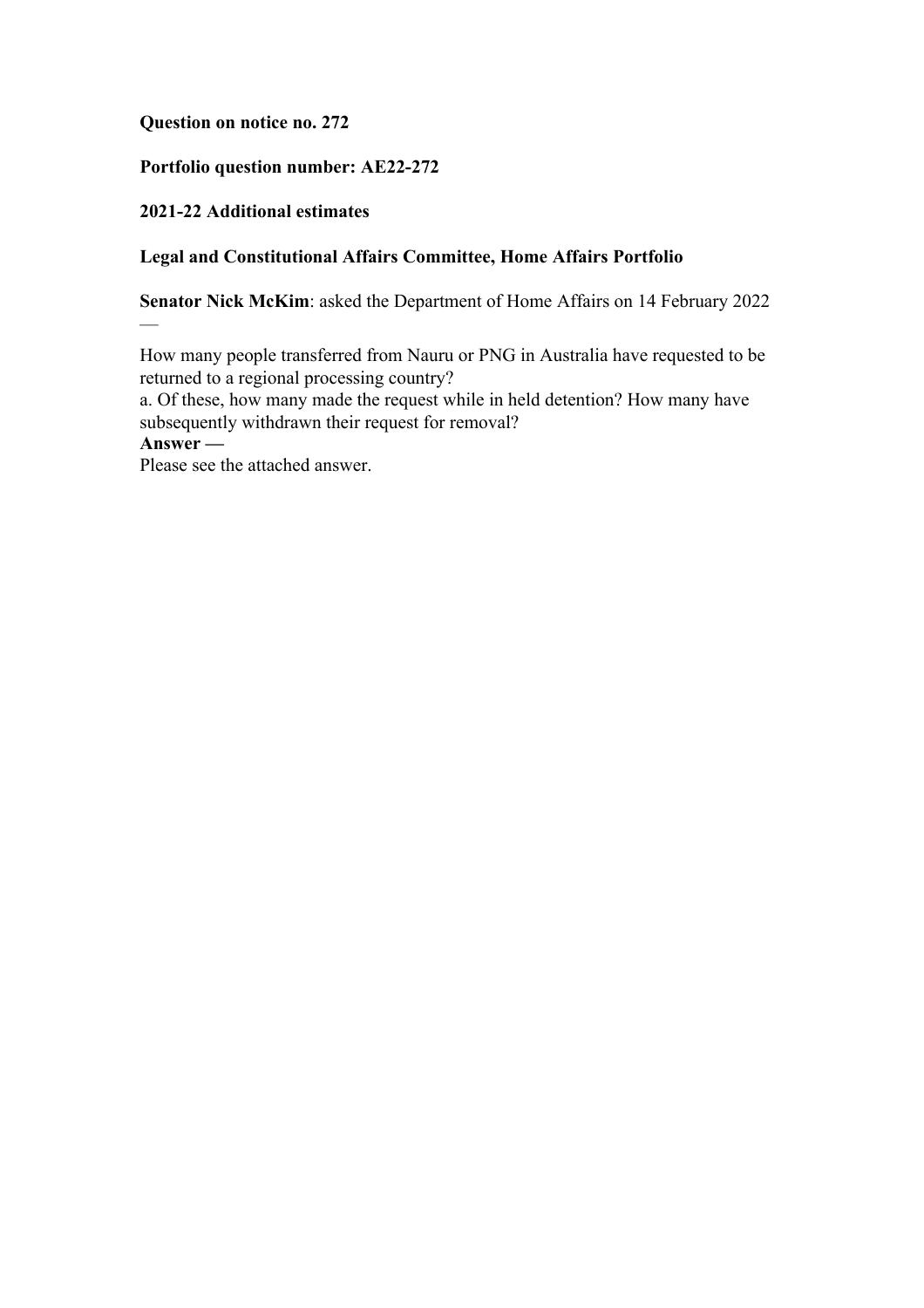# **Question on notice no. 272**

# **Portfolio question number: AE22-272**

## **2021-22 Additional estimates**

## **Legal and Constitutional Affairs Committee, Home Affairs Portfolio**

**Senator Nick McKim**: asked the Department of Home Affairs on 14 February 2022

How many people transferred from Nauru or PNG in Australia have requested to be returned to a regional processing country?

a. Of these, how many made the request while in held detention? How many have subsequently withdrawn their request for removal?

**Answer —**

—

Please see the attached answer.